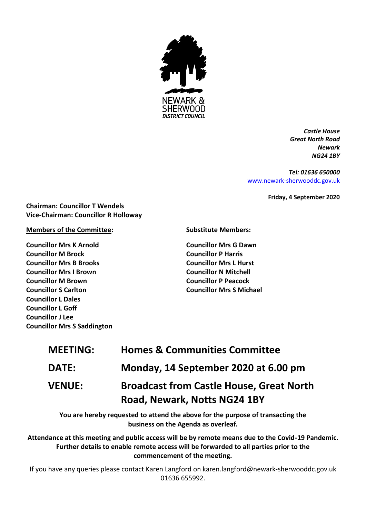

*Castle House Great North Road Newark NG24 1BY*

*Tel: 01636 650000* [www.newark-sherwooddc.gov.uk](http://www.newark-sherwooddc.gov.uk/)

**Friday, 4 September 2020**

**Chairman: Councillor T Wendels Vice-Chairman: Councillor R Holloway**

# **Members of the Committee:**

**Councillor Mrs K Arnold Councillor M Brock Councillor Mrs B Brooks Councillor Mrs I Brown Councillor M Brown Councillor S Carlton Councillor L Dales Councillor L Goff Councillor J Lee Councillor Mrs S Saddington** **Substitute Members:**

**Councillor Mrs G Dawn Councillor P Harris Councillor Mrs L Hurst Councillor N Mitchell Councillor P Peacock Councillor Mrs S Michael**

| <b>MEETING:</b> | <b>Homes &amp; Communities Committee</b>                                                                                                                                                                                    |
|-----------------|-----------------------------------------------------------------------------------------------------------------------------------------------------------------------------------------------------------------------------|
| <b>DATE:</b>    | Monday, 14 September 2020 at 6.00 pm                                                                                                                                                                                        |
| <b>VENUE:</b>   | <b>Broadcast from Castle House, Great North</b><br>Road, Newark, Notts NG24 1BY                                                                                                                                             |
|                 | You are hereby requested to attend the above for the purpose of transacting the<br>business on the Agenda as overleaf.                                                                                                      |
|                 | Attendance at this meeting and public access will be by remote means due to the Covid-19 Pandemic.<br>Further details to enable remote access will be forwarded to all parties prior to the<br>commencement of the meeting. |

If you have any queries please contact Karen Langford on karen.langford@newark-sherwooddc.gov.uk 01636 655992.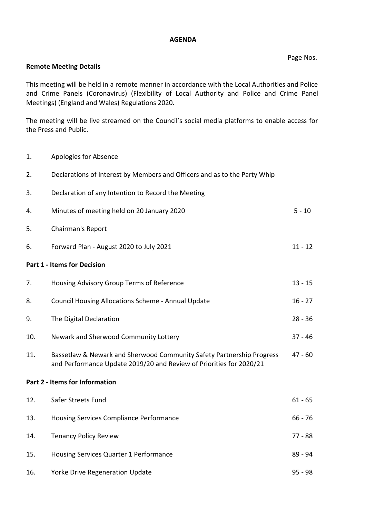#### **AGENDA**

# Page Nos.

# **Remote Meeting Details**

This meeting will be held in a remote manner in accordance with the Local Authorities and Police and Crime Panels (Coronavirus) (Flexibility of Local Authority and Police and Crime Panel Meetings) (England and Wales) Regulations 2020.

The meeting will be live streamed on the Council's social media platforms to enable access for the Press and Public.

1. Apologies for Absence

| 2.                             | Declarations of Interest by Members and Officers and as to the Party Whip                                                                    |           |  |  |
|--------------------------------|----------------------------------------------------------------------------------------------------------------------------------------------|-----------|--|--|
| 3.                             | Declaration of any Intention to Record the Meeting                                                                                           |           |  |  |
| 4.                             | Minutes of meeting held on 20 January 2020                                                                                                   | $5 - 10$  |  |  |
| 5.                             | Chairman's Report                                                                                                                            |           |  |  |
| 6.                             | Forward Plan - August 2020 to July 2021                                                                                                      | $11 - 12$ |  |  |
|                                | <b>Part 1 - Items for Decision</b>                                                                                                           |           |  |  |
| 7.                             | Housing Advisory Group Terms of Reference                                                                                                    | $13 - 15$ |  |  |
| 8.                             | Council Housing Allocations Scheme - Annual Update                                                                                           | $16 - 27$ |  |  |
| 9.                             | The Digital Declaration                                                                                                                      | $28 - 36$ |  |  |
| 10.                            | Newark and Sherwood Community Lottery                                                                                                        | $37 - 46$ |  |  |
| 11.                            | Bassetlaw & Newark and Sherwood Community Safety Partnership Progress<br>and Performance Update 2019/20 and Review of Priorities for 2020/21 | $47 - 60$ |  |  |
| Part 2 - Items for Information |                                                                                                                                              |           |  |  |
| 12.                            | Safer Streets Fund                                                                                                                           | $61 - 65$ |  |  |
| 13.                            | Housing Services Compliance Performance                                                                                                      | $66 - 76$ |  |  |
| 14.                            | <b>Tenancy Policy Review</b>                                                                                                                 | $77 - 88$ |  |  |
| 15.                            | Housing Services Quarter 1 Performance                                                                                                       | 89 - 94   |  |  |
| 16.                            | Yorke Drive Regeneration Update                                                                                                              | $95 - 98$ |  |  |